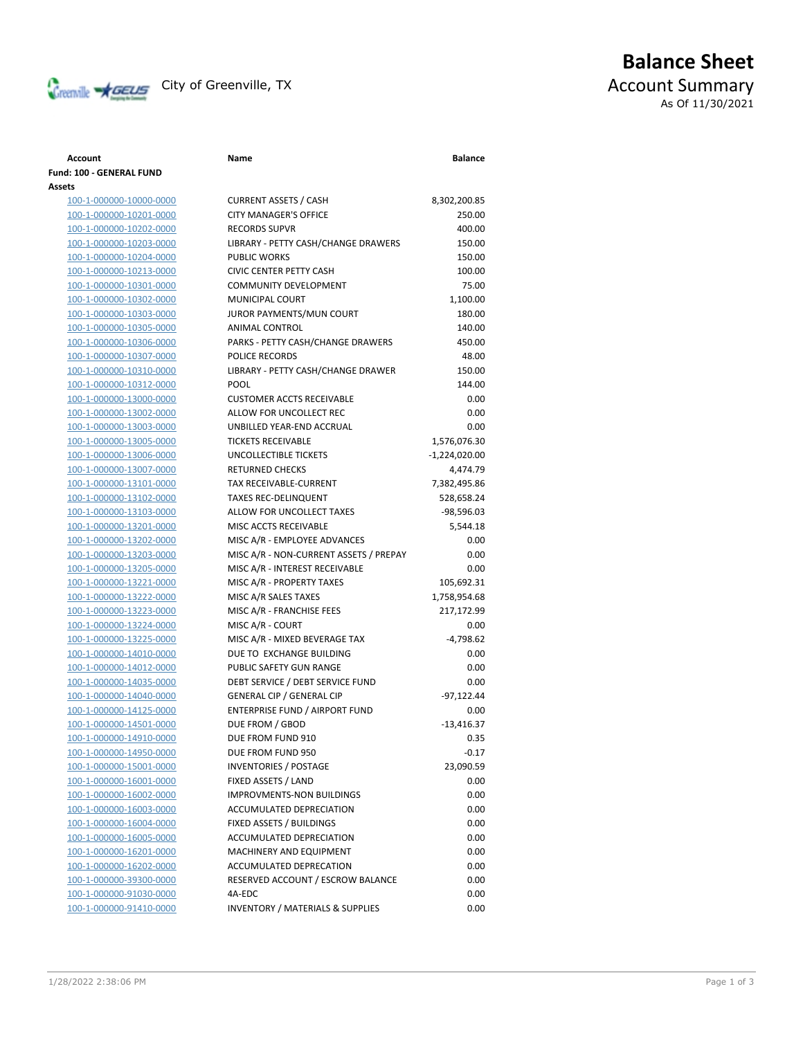

## **Balance Sheet** Creenville **AGEUS** City of Greenville, TX **ACCOUNT** ACCOUNT Summary As Of 11/30/2021

## **Account Name Balance Fund: 100 - GENERAL FUND Assets** 100-1-000000-10000-0000 100-1-000000-10201-0000 100-1-000000-10202-0000 100-1-000000-10203-0000 100-1-000000-10204-0000 100-1-000000-10213-0000 100-1-000000-10301-0000

100-1-000000-10302-0000 100-1-000000-10303-0000 100-1-000000-10305-0000 100-1-000000-10306-0000 100-1-000000-10307-0000 100-1-000000-10310-0000 100-1-000000-10312-0000 100-1-000000-13000-0000 100-1-000000-13002-0000 100-1-000000-13003-0000 100-1-000000-13005-0000 100-1-000000-13006-0000 100-1-000000-13007-0000 100-1-000000-13101-0000 100-1-000000-13102-0000 100-1-000000-13103-0000 100-1-000000-13201-0000 100-1-000000-13202-0000 100-1-000000-13203-0000 MISC A/R - NON-CURRENT ASSETS / PREPAYMENTS 0.00 100-1-000000-13205-0000 100-1-000000-13221-0000 100-1-000000-13222-0000 100-1-000000-13223-0000 100-1-000000-13224-0000 100-1-000000-13225-0000 100-1-000000-14010-0000 100-1-000000-14012-0000 100-1-000000-14035-0000 100-1-000000-14040-0000 100-1-000000-14125-0000 100-1-000000-14501-0000 100-1-000000-14910-0000 100-1-000000-14950-0000 100-1-000000-15001-0000 100-1-000000-16001-0000 100-1-000000-16002-0000 100-1-000000-16003-0000 100-1-000000-16004-0000 100-1-000000-16005-0000 100-1-000000-16201-0000 100-1-000000-16202-0000 100-1-000000-39300-0000 100-1-000000-91030-0000 100-1-000000-91410-0000

| <b>CURRENT ASSETS / CASH</b>                | 8,302,200.85  |
|---------------------------------------------|---------------|
| <b>CITY MANAGER'S OFFICE</b>                | 250.00        |
| <b>RECORDS SUPVR</b>                        | 400.00        |
| LIBRARY - PETTY CASH/CHANGE DRAWERS         | 150.00        |
| <b>PUBLIC WORKS</b>                         | 150.00        |
| CIVIC CENTER PETTY CASH                     | 100.00        |
| COMMUNITY DEVELOPMENT                       | 75.00         |
| MUNICIPAL COURT                             | 1,100.00      |
| JUROR PAYMENTS/MUN COURT                    | 180.00        |
| <b>ANIMAL CONTROL</b>                       | 140.00        |
| PARKS - PETTY CASH/CHANGE DRAWERS           | 450.00        |
| <b>POLICE RECORDS</b>                       | 48.00         |
| LIBRARY - PETTY CASH/CHANGE DRAWER          | 150.00        |
| POOL                                        | 144.00        |
| <b>CUSTOMER ACCTS RECEIVABLE</b>            | 0.00          |
| ALLOW FOR UNCOLLECT REC                     | 0.00          |
| UNBILLED YEAR-END ACCRUAL                   | 0.00          |
| <b>TICKETS RECEIVABLE</b>                   | 1,576,076.30  |
| <b>UNCOLLECTIBLE TICKETS</b>                | -1,224,020.00 |
| <b>RETURNED CHECKS</b>                      | 4,474.79      |
| TAX RECEIVABLE-CURRENT                      | 7,382,495.86  |
| <b>TAXES REC-DELINQUENT</b>                 | 528,658.24    |
| ALLOW FOR UNCOLLECT TAXES                   | -98,596.03    |
| MISC ACCTS RECEIVABLE                       | 5,544.18      |
| MISC A/R - EMPLOYEE ADVANCES                | 0.00          |
| MISC A/R - NON-CURRENT ASSETS / PREPAY      | 0.00          |
| MISC A/R - INTEREST RECEIVABLE              | 0.00          |
| MISC A/R - PROPERTY TAXES                   | 105,692.31    |
| MISC A/R SALES TAXES                        | 1,758,954.68  |
| MISC A/R - FRANCHISE FEES                   | 217,172.99    |
| MISC A/R - COURT                            | 0.00          |
| MISC A/R - MIXED BEVERAGE TAX               | $-4,798.62$   |
| DUE TO EXCHANGE BUILDING                    | 0.00          |
| PUBLIC SAFETY GUN RANGE                     | 0.00          |
| DEBT SERVICE / DEBT SERVICE FUND            | 0.00          |
| <b>GENERAL CIP / GENERAL CIP</b>            | -97,122.44    |
| <b>ENTERPRISE FUND / AIRPORT FUND</b>       | 0.00          |
| DUE FROM / GBOD                             | $-13,416.37$  |
| DUE FROM FUND 910                           | 0.35          |
| DUE FROM FUND 950                           | $-0.17$       |
| <b>INVENTORIES / POSTAGE</b>                | 23,090.59     |
| FIXED ASSETS / LAND                         | 0.00          |
| <b>IMPROVMENTS-NON BUILDINGS</b>            | 0.00          |
| <b>ACCUMULATED DEPRECIATION</b>             | 0.00          |
| FIXED ASSETS / BUILDINGS                    | 0.00          |
| <b>ACCUMULATED DEPRECIATION</b>             | 0.00          |
| <b>MACHINERY AND EQUIPMENT</b>              | 0.00          |
| ACCUMULATED DEPRECATION                     | 0.00          |
| RESERVED ACCOUNT / ESCROW BALANCE           | 0.00          |
| 4A-EDC                                      | 0.00          |
| <b>INVENTORY / MATERIALS &amp; SUPPLIES</b> | 0.00          |
|                                             |               |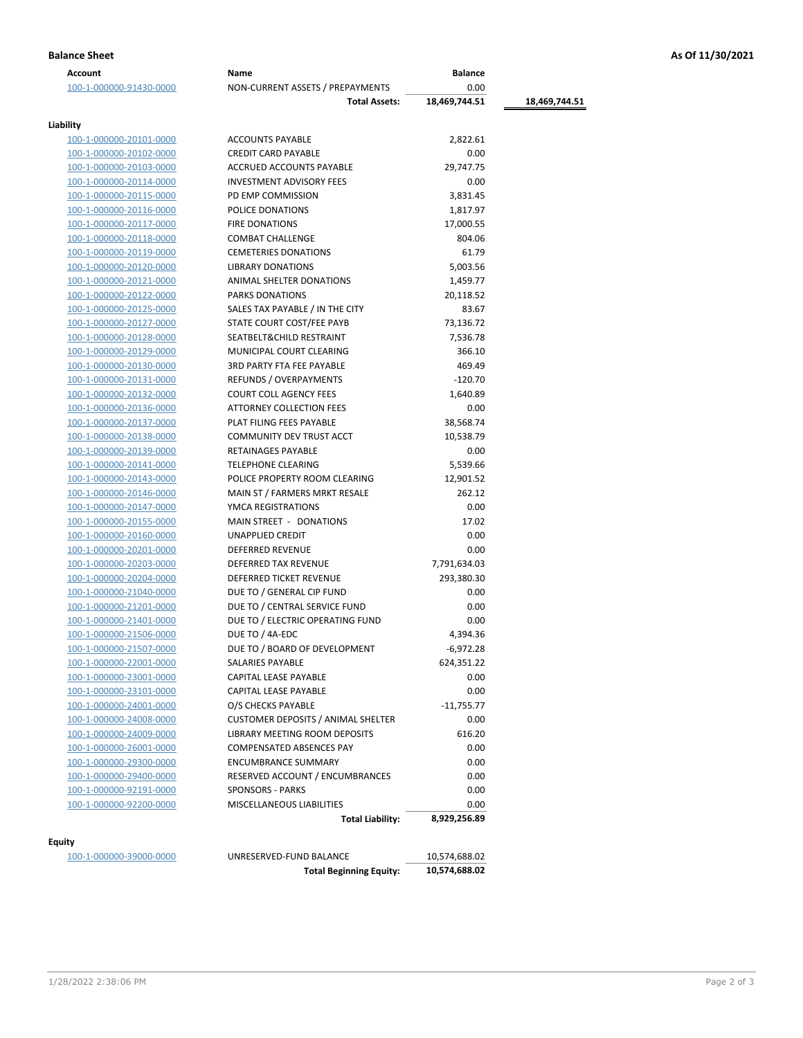| <b>Balance Sheet</b> | As Of 11/30/2021 |
|----------------------|------------------|
|                      |                  |

| Account                        | Name                                      | <b>Balance</b> |               |
|--------------------------------|-------------------------------------------|----------------|---------------|
| 100-1-000000-91430-0000        | NON-CURRENT ASSETS / PREPAYMENTS          | 0.00           |               |
|                                | <b>Total Assets:</b>                      | 18,469,744.51  | 18,469,744.51 |
| Liability                      |                                           |                |               |
| <u>100-1-000000-20101-0000</u> | <b>ACCOUNTS PAYABLE</b>                   | 2,822.61       |               |
| 100-1-000000-20102-0000        | <b>CREDIT CARD PAYABLE</b>                | 0.00           |               |
| 100-1-000000-20103-0000        | ACCRUED ACCOUNTS PAYABLE                  | 29,747.75      |               |
| 100-1-000000-20114-0000        | <b>INVESTMENT ADVISORY FEES</b>           | 0.00           |               |
| 100-1-000000-20115-0000        | PD EMP COMMISSION                         | 3,831.45       |               |
| 100-1-000000-20116-0000        | POLICE DONATIONS                          | 1,817.97       |               |
| 100-1-000000-20117-0000        | <b>FIRE DONATIONS</b>                     | 17,000.55      |               |
| 100-1-000000-20118-0000        | <b>COMBAT CHALLENGE</b>                   | 804.06         |               |
| 100-1-000000-20119-0000        | <b>CEMETERIES DONATIONS</b>               | 61.79          |               |
| 100-1-000000-20120-0000        | <b>LIBRARY DONATIONS</b>                  | 5,003.56       |               |
| 100-1-000000-20121-0000        | ANIMAL SHELTER DONATIONS                  | 1,459.77       |               |
| 100-1-000000-20122-0000        | PARKS DONATIONS                           | 20,118.52      |               |
| 100-1-000000-20125-0000        | SALES TAX PAYABLE / IN THE CITY           | 83.67          |               |
| 100-1-000000-20127-0000        | STATE COURT COST/FEE PAYB                 | 73,136.72      |               |
| 100-1-000000-20128-0000        | SEATBELT&CHILD RESTRAINT                  | 7,536.78       |               |
| 100-1-000000-20129-0000        | MUNICIPAL COURT CLEARING                  | 366.10         |               |
| 100-1-000000-20130-0000        | <b>3RD PARTY FTA FEE PAYABLE</b>          | 469.49         |               |
| 100-1-000000-20131-0000        | REFUNDS / OVERPAYMENTS                    | $-120.70$      |               |
|                                |                                           |                |               |
| 100-1-000000-20132-0000        | <b>COURT COLL AGENCY FEES</b>             | 1,640.89       |               |
| 100-1-000000-20136-0000        | ATTORNEY COLLECTION FEES                  | 0.00           |               |
| 100-1-000000-20137-0000        | PLAT FILING FEES PAYABLE                  | 38,568.74      |               |
| 100-1-000000-20138-0000        | COMMUNITY DEV TRUST ACCT                  | 10,538.79      |               |
| 100-1-000000-20139-0000        | <b>RETAINAGES PAYABLE</b>                 | 0.00           |               |
| 100-1-000000-20141-0000        | TELEPHONE CLEARING                        | 5,539.66       |               |
| 100-1-000000-20143-0000        | POLICE PROPERTY ROOM CLEARING             | 12,901.52      |               |
| 100-1-000000-20146-0000        | MAIN ST / FARMERS MRKT RESALE             | 262.12         |               |
| 100-1-000000-20147-0000        | YMCA REGISTRATIONS                        | 0.00           |               |
| 100-1-000000-20155-0000        | MAIN STREET - DONATIONS                   | 17.02          |               |
| 100-1-000000-20160-0000        | UNAPPLIED CREDIT                          | 0.00           |               |
| 100-1-000000-20201-0000        | DEFERRED REVENUE                          | 0.00           |               |
| 100-1-000000-20203-0000        | DEFERRED TAX REVENUE                      | 7,791,634.03   |               |
| 100-1-000000-20204-0000        | DEFERRED TICKET REVENUE                   | 293,380.30     |               |
| 100-1-000000-21040-0000        | DUE TO / GENERAL CIP FUND                 | 0.00           |               |
| 100-1-000000-21201-0000        | DUE TO / CENTRAL SERVICE FUND             | 0.00           |               |
| 100-1-000000-21401-0000        | DUE TO / ELECTRIC OPERATING FUND          | 0.00           |               |
| 100-1-000000-21506-0000        | DUE TO / 4A-EDC                           | 4,394.36       |               |
| 100-1-000000-21507-0000        | DUE TO / BOARD OF DEVELOPMENT             | $-6,972.28$    |               |
| 100-1-000000-22001-0000        | SALARIES PAYABLE                          | 624,351.22     |               |
| 100-1-000000-23001-0000        | CAPITAL LEASE PAYABLE                     | 0.00           |               |
| 100-1-000000-23101-0000        | CAPITAL LEASE PAYABLE                     | 0.00           |               |
| 100-1-000000-24001-0000        | O/S CHECKS PAYABLE                        | -11,755.77     |               |
| 100-1-000000-24008-0000        | <b>CUSTOMER DEPOSITS / ANIMAL SHELTER</b> | 0.00           |               |
| 100-1-000000-24009-0000        | <b>LIBRARY MEETING ROOM DEPOSITS</b>      | 616.20         |               |
| 100-1-000000-26001-0000        | <b>COMPENSATED ABSENCES PAY</b>           | 0.00           |               |
| 100-1-000000-29300-0000        | <b>ENCUMBRANCE SUMMARY</b>                | 0.00           |               |
| 100-1-000000-29400-0000        | RESERVED ACCOUNT / ENCUMBRANCES           | 0.00           |               |
| 100-1-000000-92191-0000        | <b>SPONSORS - PARKS</b>                   | 0.00           |               |
| 100-1-000000-92200-0000        | MISCELLANEOUS LIABILITIES                 | 0.00           |               |
|                                | <b>Total Liability:</b>                   | 8,929,256.89   |               |
| Equity                         |                                           |                |               |
| 100-1-000000-39000-0000        | UNRESERVED-FUND BALANCE                   | 10,574,688.02  |               |
|                                | <b>Total Beginning Equity:</b>            | 10,574,688.02  |               |

|                                | <b>10, J/ 7, 0</b> |
|--------------------------------|--------------------|
| <b>Total Beginning Equity:</b> | 10,574,6           |